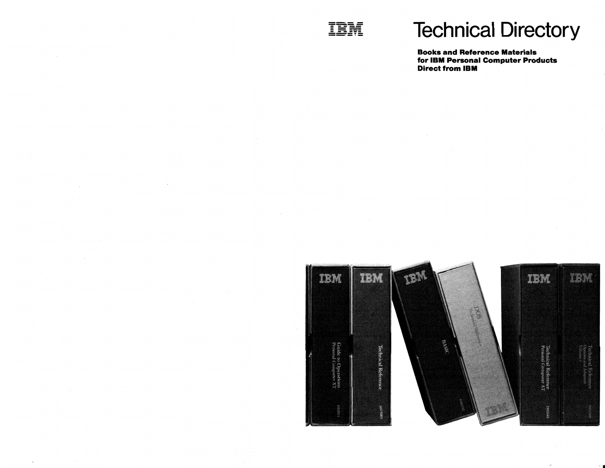

 $\mathbf{r}$ 

# **Technical Directory**

Books and Reference Materials for IBM Personal Computer Products Direct from IBM



•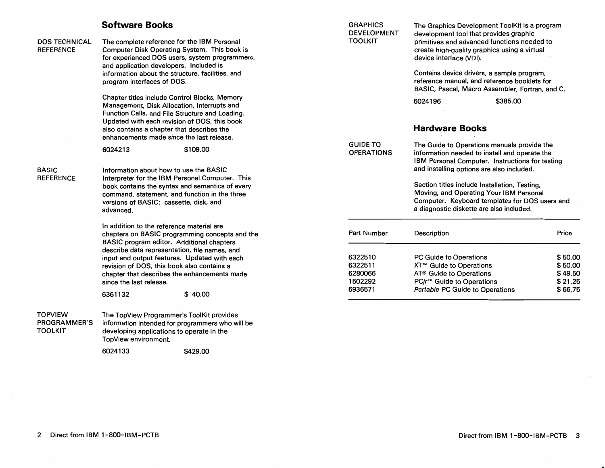# **Software Books**

## DOS TECHNICAL **REFERENCE**

The complete reference for the IBM Personal Computer Disk Operating System. This book is for experienced DOS users, system programmers, and application developers. Included is information about the structure, facilities, and program interfaces of DOS.

Chapter titles include Control Blocks, Memory Management, Disk Allocation, Interrupts and Function Calis, and File Structure and Loading. Updated with each revision of DOS, this book also contains a chapter that describes the enhancements made since the last release.

6024213 \$109.00

#### BASIC **REFERENCE**

Information about how to use the BASIC Interpreter for the IBM Personal Computer. This book contains the syntax and semantics of every command, statement, and function in the three versions of BASIC: cassette, disk, and advanced.

In addition to the reference material are chapters on BASIC programming concepts and the BASIC program editor. Additional chapters describe data representation, file names, and input and output features. Updated with each revision of DOS, this book also contains a chapter that describes the enhancements made since the last release.

6361132 \$ 40.00

# TOPVIEW PROGRAMMER'S TOOLKIT

The TopView Programmer's ToolKit provides information intended for programmers who will be developing applications to operate in the TopView environment.

6024133 \$429.00

| <b>GRAPHICS</b><br><b>DEVELOPMENT</b><br><b>TOOLKIT</b> | development tool that provides graphic<br>device interface (VDI).                                                                                                                            | The Graphics Development ToolKit is a program<br>primitives and advanced functions needed to<br>create high-quality graphics using a virtual |  |
|---------------------------------------------------------|----------------------------------------------------------------------------------------------------------------------------------------------------------------------------------------------|----------------------------------------------------------------------------------------------------------------------------------------------|--|
|                                                         | Contains device drivers, a sample program,<br>reference manual, and reference booklets for<br>BASIC, Pascal, Macro Assembler, Fortran, and C.                                                |                                                                                                                                              |  |
|                                                         | 6024196                                                                                                                                                                                      | \$385.00                                                                                                                                     |  |
|                                                         | <b>Hardware Books</b>                                                                                                                                                                        |                                                                                                                                              |  |
| <b>GUIDE TO</b><br><b>OPERATIONS</b>                    | The Guide to Operations manuals provide the<br>information needed to install and operate the<br>IBM Personal Computer. Instructions for testing<br>and installing options are also included. |                                                                                                                                              |  |
|                                                         | Section titles include Installation, Testing,<br>Moving, and Operating Your IBM Personal<br>Computer. Keyboard templates for DOS users and<br>a diagnostic diskette are also included.       |                                                                                                                                              |  |
| <b>Part Number</b>                                      | <b>Description</b>                                                                                                                                                                           | Price                                                                                                                                        |  |
| 6322510                                                 | PC Guide to Operations                                                                                                                                                                       | \$50.00                                                                                                                                      |  |
| 6322511                                                 | XT™ Guide to Operations                                                                                                                                                                      | \$50.00                                                                                                                                      |  |
| 6280066                                                 | AT <sup>®</sup> Guide to Operations                                                                                                                                                          | \$ 49.50                                                                                                                                     |  |

1502292 6936571

PC*ir*<sup>™</sup> Guide to Operations \$21.25 Portable PC Guide to Operations \$66.75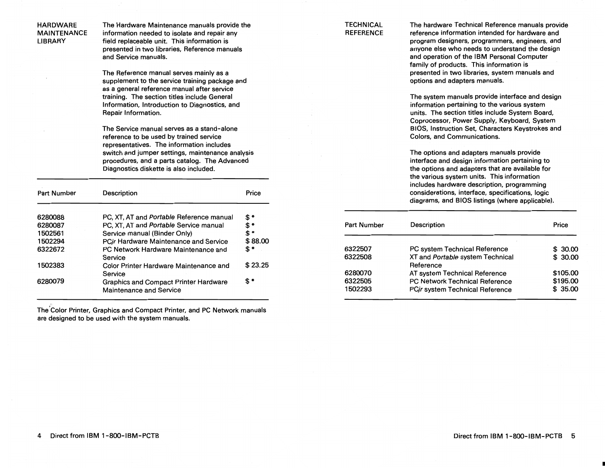HARDWARE The Hardware Maintenance manuals provide the<br>MAINTENANCE information needed to isolate and repair any MAINTENANCE information needed to isolate and repair any<br>LIBRARY field replaceable unit. This information is field replaceable unit. This information is presented in two libraries, Reference manuals and Service manuals.

> The Reference manual serves mainly as a supplement to the service training package and as a general reference manual after service training. The section titles include General Information, Introduction to Diagnostics, and Repair Information.

The Service manual serves as a stand-alone reference to be used by trained service representatives. The information includes switch and jumper settings, maintenance analysis procedures, and a parts catalog. The Advanced Diagnostics diskette is also included.

| <b>Part Number</b> | Description                                                             | Price           |
|--------------------|-------------------------------------------------------------------------|-----------------|
| 6280088            | PC, XT, AT and Portable Reference manual                                | \$*             |
| 6280087            | PC, XT, AT and Portable Service manual                                  | $\mathbf{\$}$ * |
| 1502561            | Service manual (Binder Only)                                            | \$*             |
| 1502294            | PCjr Hardware Maintenance and Service                                   | \$88.00         |
| 6322672            | PC Network Hardware Maintenance and<br>Service                          | \$*             |
| 1502383            | Color Printer Hardware Maintenance and<br>Service                       | \$23.25         |
| 6280079            | <b>Graphics and Compact Printer Hardware</b><br>Maintenance and Service | \$ *            |

The'Color Printer, Graphics and Compact Printer, and PC Network manuals are designed to be used with the system manuals.

### **TECHNICAL** REFERENCE

The hardware Technical Reference manuals provide reference information intended for hardware and program designers, programmers, engineers, and anyone else who needs to understand the design and operation of the IBM Personal Computer family of products. This information is presented in two libraries, system manuals and options and adapters manuals.

The system manuals provide interface and design information pertaining to the various system units. The section titles include System Board, Coprocessor, Power Supply, Keyboard, System BIOS, Instruction Set, Characters Keystrokes and Colors, and Communications.

The options and adapters manuals provide interface and design information pertaining to the options and adapters that are available for the various system units. This information includes hardware description, programming considerations, interface, specifications, logic diagrams, and BIOS listings (where applicable).

| <b>Part Number</b> | Description                                   | Price    |
|--------------------|-----------------------------------------------|----------|
| 6322507            | PC system Technical Reference                 | \$30.00  |
| 6322508            | XT and Portable system Technical<br>Reference | \$30.00  |
| 6280070            | AT system Technical Reference                 | \$105.00 |
| 6322505            | <b>PC Network Technical Reference</b>         | \$195.00 |
| 1502293            | PCir system Technical Reference               | \$35.00  |

•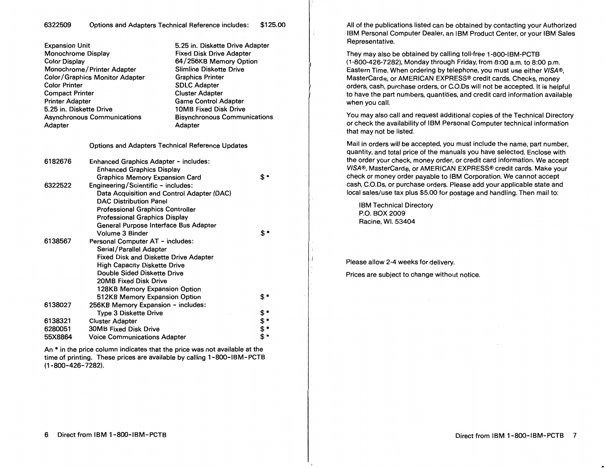# 6322509 Options and Adapters Technical Reference includes: \$125.00

| <b>Expansion Unit</b>              |                                                                    | 5.25 in. Diskette Drive Adapter     |      |  |  |
|------------------------------------|--------------------------------------------------------------------|-------------------------------------|------|--|--|
| Monochrome Display                 |                                                                    | <b>Fixed Disk Drive Adapter</b>     |      |  |  |
| <b>Color Display</b>               |                                                                    | 64/256KB Memory Option              |      |  |  |
|                                    | Monochrome/Printer Adapter                                         | <b>Slimline Diskette Drive</b>      |      |  |  |
|                                    | <b>Color/Graphics Monitor Adapter</b>                              | <b>Graphics Printer</b>             |      |  |  |
| <b>Color Printer</b>               |                                                                    | <b>SDLC Adapter</b>                 |      |  |  |
| <b>Compact Printer</b>             |                                                                    | <b>Cluster Adapter</b>              |      |  |  |
| <b>Printer Adapter</b>             |                                                                    | <b>Game Control Adapter</b>         |      |  |  |
| 5.25 in. Diskette Drive            |                                                                    | <b>10MB Fixed Disk Drive</b>        |      |  |  |
| <b>Asynchronous Communications</b> |                                                                    | <b>Bisynchronous Communications</b> |      |  |  |
| Adapter                            |                                                                    | Adapter                             |      |  |  |
|                                    | <b>Options and Adapters Technical Reference Updates</b>            |                                     |      |  |  |
| 6182676                            | Enhanced Graphics Adapter - includes:                              |                                     |      |  |  |
|                                    | <b>Enhanced Graphics Display</b>                                   |                                     |      |  |  |
|                                    | <b>Graphics Memory Expansion Card</b>                              |                                     | \$*  |  |  |
| 6322522                            | Engineering/Scientific - includes:                                 |                                     |      |  |  |
|                                    | Data Acquisition and Control Adapter (DAC)                         |                                     |      |  |  |
|                                    | <b>DAC Distribution Panel</b>                                      |                                     |      |  |  |
|                                    | <b>Professional Graphics Controller</b>                            |                                     |      |  |  |
|                                    | <b>Professional Graphics Display</b>                               |                                     |      |  |  |
|                                    | General Purpose Interface Bus Adapter                              |                                     |      |  |  |
|                                    | Volume 3 Binder                                                    |                                     | \$*  |  |  |
| 6138567                            | Personal Computer AT - includes:                                   |                                     |      |  |  |
|                                    | Serial/Parallel Adapter                                            |                                     |      |  |  |
|                                    | <b>Fixed Disk and Diskette Drive Adapter</b>                       |                                     |      |  |  |
|                                    | <b>High Capacity Diskette Drive</b><br>Double Sided Diskette Drive |                                     |      |  |  |
|                                    | 20MB Fixed Disk Drive                                              |                                     |      |  |  |
|                                    | 128KB Memory Expansion Option                                      |                                     |      |  |  |
|                                    | 512KB Memory Expansion Option                                      |                                     | \$ * |  |  |
| 6138027                            | 256KB Memory Expansion - includes:                                 |                                     |      |  |  |
|                                    | <b>Type 3 Diskette Drive</b>                                       |                                     | \$*  |  |  |
| 6138321                            | <b>Cluster Adapter</b>                                             |                                     | \$*  |  |  |
| 6280051                            | <b>30MB Fixed Disk Drive</b>                                       |                                     | \$*  |  |  |
| 55X8864                            | <b>Voice Communications Adapter</b>                                |                                     | \$*  |  |  |
|                                    |                                                                    |                                     |      |  |  |

An \* in the price column indicates that the price was not available at the time of printing. These prices are available by calling 1-800-IBM-PCTB (1-800-426-7282).

All of the publications listed can be obtained by contacting your Authorized IBM Personal Computer Dealer, an I BM Product Center, or your IBM Sales Representative.

They may also be obtained by calling toll-free 1-800-IBM-PCTB (1-800-426-7282), Monday through Friday, from 8:00 a.m. to 8:00 p.m. Eastern Time. When ordering by telephone, you must use either VISA®, MasterCard®, or AMERICAN EXPRESS® credit cards. Checks, money orders, cash, purchase orders, or C.O.Ds will not be accepted. It is helpful to have the part numbers, quantities, and credit card information available when you call.

You may also call and request additional copies of the Technical Directory or check the availability of IBM Personal Computer technical information that may not be listed.

Mail in orders will be accepted, you must include the name, part number, quantity, and total price of the manuals you have selected. Enclose with the order your check, money order, or credit card information. We accept VISA®, MasterCard®, or AMERICAN EXPRESS® credit cards. Make your check or money order payable to IBM Corporation. We cannot accept cash, C.O.Ds, or purchase orders. Please add your applicable state and local sales/use tax plus \$5.00 for postage and handling. Then mail to:

IBM Technical Directory P.O. BOX 2009 Racine, WI. 53404

Please allow 2-4 weeks for delivery. Prices are subject to change without notice.